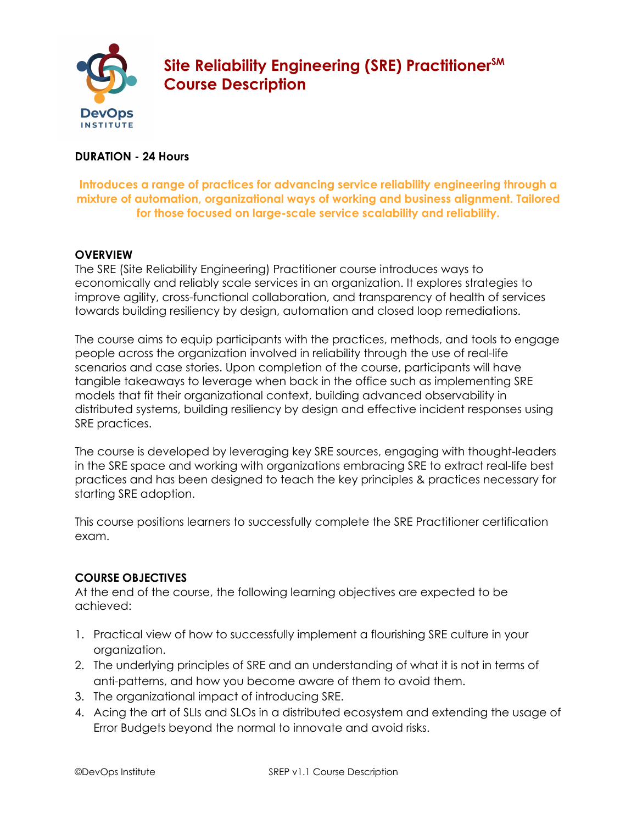

# **Site Reliability Engineering (SRE) PractitionerSM Course Description**

## **DURATION - 24 Hours**

## **Introduces a range of practices for advancing service reliability engineering through a mixture of automation, organizational ways of working and business alignment. Tailored for those focused on large-scale service scalability and reliability.**

## **OVERVIEW**

The SRE (Site Reliability Engineering) Practitioner course introduces ways to economically and reliably scale services in an organization. It explores strategies to improve agility, cross-functional collaboration, and transparency of health of services towards building resiliency by design, automation and closed loop remediations.

The course aims to equip participants with the practices, methods, and tools to engage people across the organization involved in reliability through the use of real-life scenarios and case stories. Upon completion of the course, participants will have tangible takeaways to leverage when back in the office such as implementing SRE models that fit their organizational context, building advanced observability in distributed systems, building resiliency by design and effective incident responses using SRE practices.

The course is developed by leveraging key SRE sources, engaging with thought-leaders in the SRE space and working with organizations embracing SRE to extract real-life best practices and has been designed to teach the key principles & practices necessary for starting SRE adoption.

This course positions learners to successfully complete the SRE Practitioner certification exam.

# **COURSE OBJECTIVES**

At the end of the course, the following learning objectives are expected to be achieved:

- 1. Practical view of how to successfully implement a flourishing SRE culture in your organization.
- 2. The underlying principles of SRE and an understanding of what it is not in terms of anti-patterns, and how you become aware of them to avoid them.
- 3. The organizational impact of introducing SRE.
- 4. Acing the art of SLIs and SLOs in a distributed ecosystem and extending the usage of Error Budgets beyond the normal to innovate and avoid risks.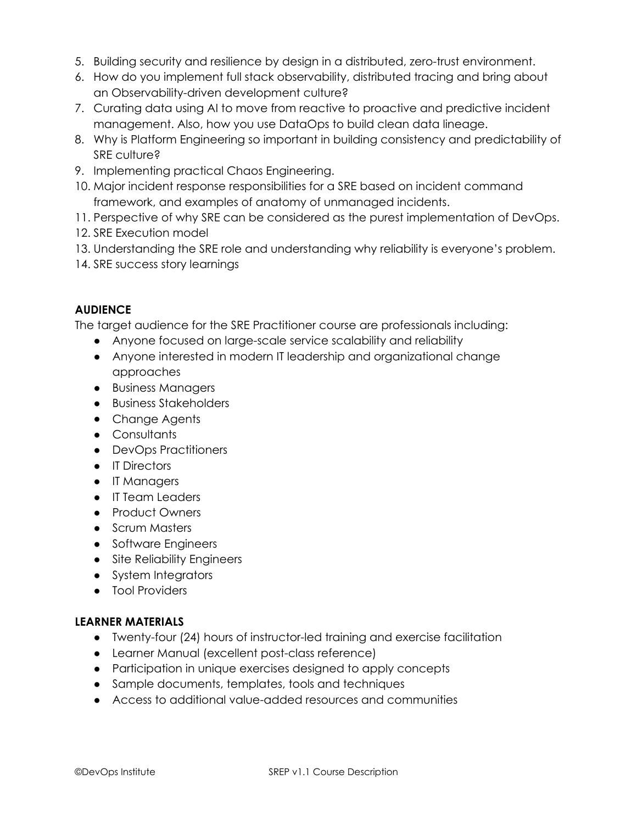- 5. Building security and resilience by design in a distributed, zero-trust environment.
- 6. How do you implement full stack observability, distributed tracing and bring about an Observability-driven development culture?
- 7. Curating data using AI to move from reactive to proactive and predictive incident management. Also, how you use DataOps to build clean data lineage.
- 8. Why is Platform Engineering so important in building consistency and predictability of SRE culture?
- 9. Implementing practical Chaos Engineering.
- 10. Major incident response responsibilities for a SRE based on incident command framework, and examples of anatomy of unmanaged incidents.
- 11. Perspective of why SRE can be considered as the purest implementation of DevOps.
- 12. SRE Execution model
- 13. Understanding the SRE role and understanding why reliability is everyone's problem.
- 14. SRE success story learnings

# **AUDIENCE**

The target audience for the SRE Practitioner course are professionals including:

- Anyone focused on large-scale service scalability and reliability
- Anyone interested in modern IT leadership and organizational change approaches
- Business Managers
- Business Stakeholders
- Change Agents
- Consultants
- DevOps Practitioners
- IT Directors
- IT Managers
- IT Team Leaders
- Product Owners
- Scrum Masters
- Software Engineers
- Site Reliability Engineers
- System Integrators
- Tool Providers

# **LEARNER MATERIALS**

- Twenty-four (24) hours of instructor-led training and exercise facilitation
- Learner Manual (excellent post-class reference)
- Participation in unique exercises designed to apply concepts
- Sample documents, templates, tools and techniques
- Access to additional value-added resources and communities